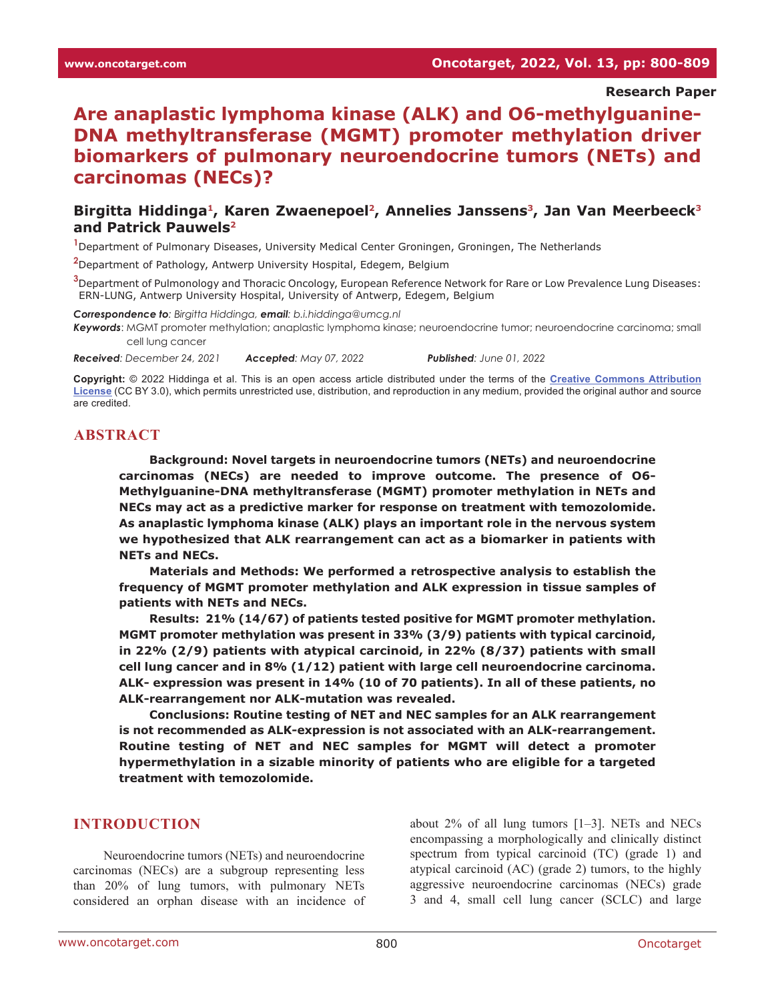**Research Paper**

# **Are anaplastic lymphoma kinase (ALK) and O6-methylguanine-DNA methyltransferase (MGMT) promoter methylation driver biomarkers of pulmonary neuroendocrine tumors (NETs) and carcinomas (NECs)?**

#### Birgitta Hiddinga<sup>1</sup>, Karen Zwaenepoel<sup>2</sup>, Annelies Janssens<sup>3</sup>, Jan Van Meerbeeck<sup>3</sup> **and Patrick Pauwels2**

**1** Department of Pulmonary Diseases, University Medical Center Groningen, Groningen, The Netherlands

**2** Department of Pathology, Antwerp University Hospital, Edegem, Belgium

**3** Department of Pulmonology and Thoracic Oncology, European Reference Network for Rare or Low Prevalence Lung Diseases: ERN-LUNG, Antwerp University Hospital, University of Antwerp, Edegem, Belgium

*Correspondence to: Birgitta Hiddinga, email: b.i.hiddinga@umcg.nl*

*Keywords*: MGMT promoter methylation; anaplastic lymphoma kinase; neuroendocrine tumor; neuroendocrine carcinoma; small cell lung cancer

*Received: December 24, 2021 Accepted: May 07, 2022 Published: June 01, 2022*

**Copyright:** © 2022 Hiddinga et al. This is an open access article distributed under the terms of the **[Creative Commons Attribution](https://creativecommons.org/licenses/by/3.0/)  [License](https://creativecommons.org/licenses/by/3.0/)** (CC BY 3.0), which permits unrestricted use, distribution, and reproduction in any medium, provided the original author and source are credited.

#### **ABSTRACT**

**Background: Novel targets in neuroendocrine tumors (NETs) and neuroendocrine carcinomas (NECs) are needed to improve outcome. The presence of O6- Methylguanine-DNA methyltransferase (MGMT) promoter methylation in NETs and NECs may act as a predictive marker for response on treatment with temozolomide. As anaplastic lymphoma kinase (ALK) plays an important role in the nervous system we hypothesized that ALK rearrangement can act as a biomarker in patients with NETs and NECs.**

**Materials and Methods: We performed a retrospective analysis to establish the frequency of MGMT promoter methylation and ALK expression in tissue samples of patients with NETs and NECs.**

**Results: 21% (14/67) of patients tested positive for MGMT promoter methylation. MGMT promoter methylation was present in 33% (3/9) patients with typical carcinoid, in 22% (2/9) patients with atypical carcinoid, in 22% (8/37) patients with small cell lung cancer and in 8% (1/12) patient with large cell neuroendocrine carcinoma. ALK- expression was present in 14% (10 of 70 patients). In all of these patients, no ALK-rearrangement nor ALK-mutation was revealed.**

**Conclusions: Routine testing of NET and NEC samples for an ALK rearrangement is not recommended as ALK-expression is not associated with an ALK-rearrangement. Routine testing of NET and NEC samples for MGMT will detect a promoter hypermethylation in a sizable minority of patients who are eligible for a targeted treatment with temozolomide.**

#### **INTRODUCTION**

Neuroendocrine tumors (NETs) and neuroendocrine carcinomas (NECs) are a subgroup representing less than 20% of lung tumors, with pulmonary NETs considered an orphan disease with an incidence of about 2% of all lung tumors [1–3]. NETs and NECs encompassing a morphologically and clinically distinct spectrum from typical carcinoid (TC) (grade 1) and atypical carcinoid (AC) (grade 2) tumors, to the highly aggressive neuroendocrine carcinomas (NECs) grade 3 and 4, small cell lung cancer (SCLC) and large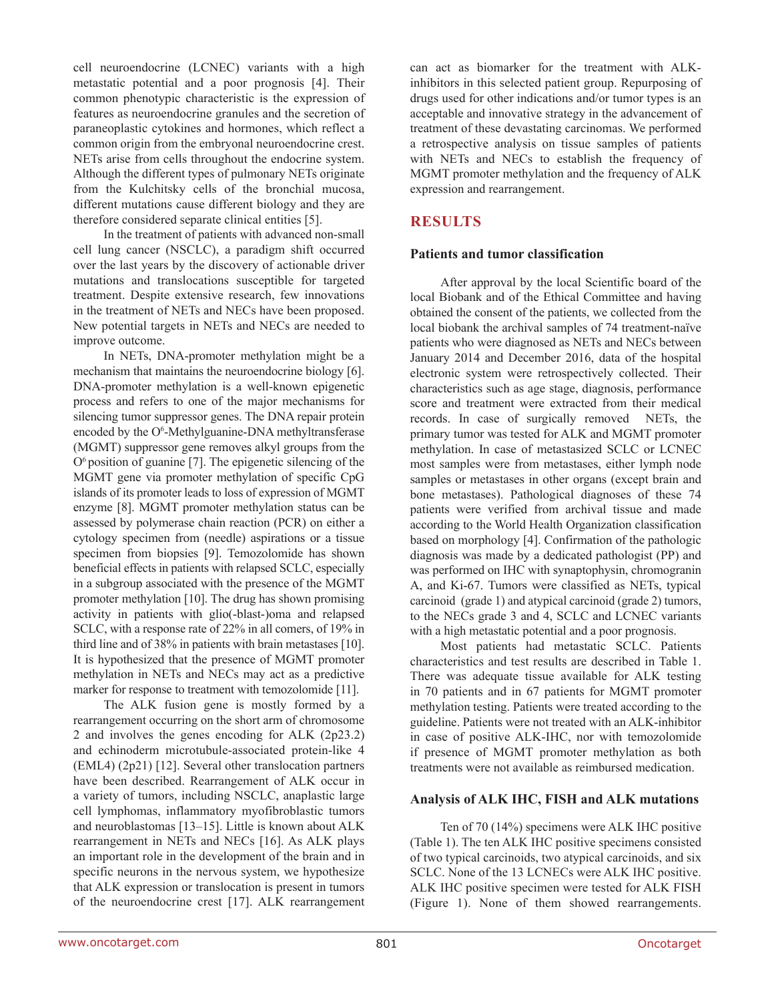cell neuroendocrine (LCNEC) variants with a high metastatic potential and a poor prognosis [4]. Their common phenotypic characteristic is the expression of features as neuroendocrine granules and the secretion of paraneoplastic cytokines and hormones, which reflect a common origin from the embryonal neuroendocrine crest. NETs arise from cells throughout the endocrine system. Although the different types of pulmonary NETs originate from the Kulchitsky cells of the bronchial mucosa, different mutations cause different biology and they are therefore considered separate clinical entities [5].

In the treatment of patients with advanced non-small cell lung cancer (NSCLC), a paradigm shift occurred over the last years by the discovery of actionable driver mutations and translocations susceptible for targeted treatment. Despite extensive research, few innovations in the treatment of NETs and NECs have been proposed. New potential targets in NETs and NECs are needed to improve outcome.

In NETs, DNA-promoter methylation might be a mechanism that maintains the neuroendocrine biology [6]. DNA-promoter methylation is a well-known epigenetic process and refers to one of the major mechanisms for silencing tumor suppressor genes. The DNA repair protein encoded by the O<sup>6</sup>-Methylguanine-DNA methyltransferase (MGMT) suppressor gene removes alkyl groups from the  $O<sup>6</sup>$  position of guanine [7]. The epigenetic silencing of the MGMT gene via promoter methylation of specific CpG islands of its promoter leads to loss of expression of MGMT enzyme [8]. MGMT promoter methylation status can be assessed by polymerase chain reaction (PCR) on either a cytology specimen from (needle) aspirations or a tissue specimen from biopsies [9]. Temozolomide has shown beneficial effects in patients with relapsed SCLC, especially in a subgroup associated with the presence of the MGMT promoter methylation [10]. The drug has shown promising activity in patients with glio(-blast-)oma and relapsed SCLC, with a response rate of 22% in all comers, of 19% in third line and of 38% in patients with brain metastases [10]. It is hypothesized that the presence of MGMT promoter methylation in NETs and NECs may act as a predictive marker for response to treatment with temozolomide [11].

The ALK fusion gene is mostly formed by a rearrangement occurring on the short arm of chromosome 2 and involves the genes encoding for ALK (2p23.2) and echinoderm microtubule-associated protein-like 4 (EML4) (2p21) [12]. Several other translocation partners have been described. Rearrangement of ALK occur in a variety of tumors, including NSCLC, anaplastic large cell lymphomas, inflammatory myofibroblastic tumors and neuroblastomas [13–15]. Little is known about ALK rearrangement in NETs and NECs [16]. As ALK plays an important role in the development of the brain and in specific neurons in the nervous system, we hypothesize that ALK expression or translocation is present in tumors of the neuroendocrine crest [17]. ALK rearrangement can act as biomarker for the treatment with ALKinhibitors in this selected patient group. Repurposing of drugs used for other indications and/or tumor types is an acceptable and innovative strategy in the advancement of treatment of these devastating carcinomas. We performed a retrospective analysis on tissue samples of patients with NETs and NECs to establish the frequency of MGMT promoter methylation and the frequency of ALK expression and rearrangement.

### **RESULTS**

#### **Patients and tumor classification**

After approval by the local Scientific board of the local Biobank and of the Ethical Committee and having obtained the consent of the patients, we collected from the local biobank the archival samples of 74 treatment-naïve patients who were diagnosed as NETs and NECs between January 2014 and December 2016, data of the hospital electronic system were retrospectively collected. Their characteristics such as age stage, diagnosis, performance score and treatment were extracted from their medical records. In case of surgically removed NETs, the primary tumor was tested for ALK and MGMT promoter methylation. In case of metastasized SCLC or LCNEC most samples were from metastases, either lymph node samples or metastases in other organs (except brain and bone metastases). Pathological diagnoses of these 74 patients were verified from archival tissue and made according to the World Health Organization classification based on morphology [4]. Confirmation of the pathologic diagnosis was made by a dedicated pathologist (PP) and was performed on IHC with synaptophysin, chromogranin A, and Ki-67. Tumors were classified as NETs, typical carcinoid (grade 1) and atypical carcinoid (grade 2) tumors, to the NECs grade 3 and 4, SCLC and LCNEC variants with a high metastatic potential and a poor prognosis.

Most patients had metastatic SCLC. Patients characteristics and test results are described in Table 1. There was adequate tissue available for ALK testing in 70 patients and in 67 patients for MGMT promoter methylation testing. Patients were treated according to the guideline. Patients were not treated with an ALK-inhibitor in case of positive ALK-IHC, nor with temozolomide if presence of MGMT promoter methylation as both treatments were not available as reimbursed medication.

#### **Analysis of ALK IHC, FISH and ALK mutations**

Ten of 70 (14%) specimens were ALK IHC positive (Table 1). The ten ALK IHC positive specimens consisted of two typical carcinoids, two atypical carcinoids, and six SCLC. None of the 13 LCNECs were ALK IHC positive. ALK IHC positive specimen were tested for ALK FISH (Figure 1). None of them showed rearrangements.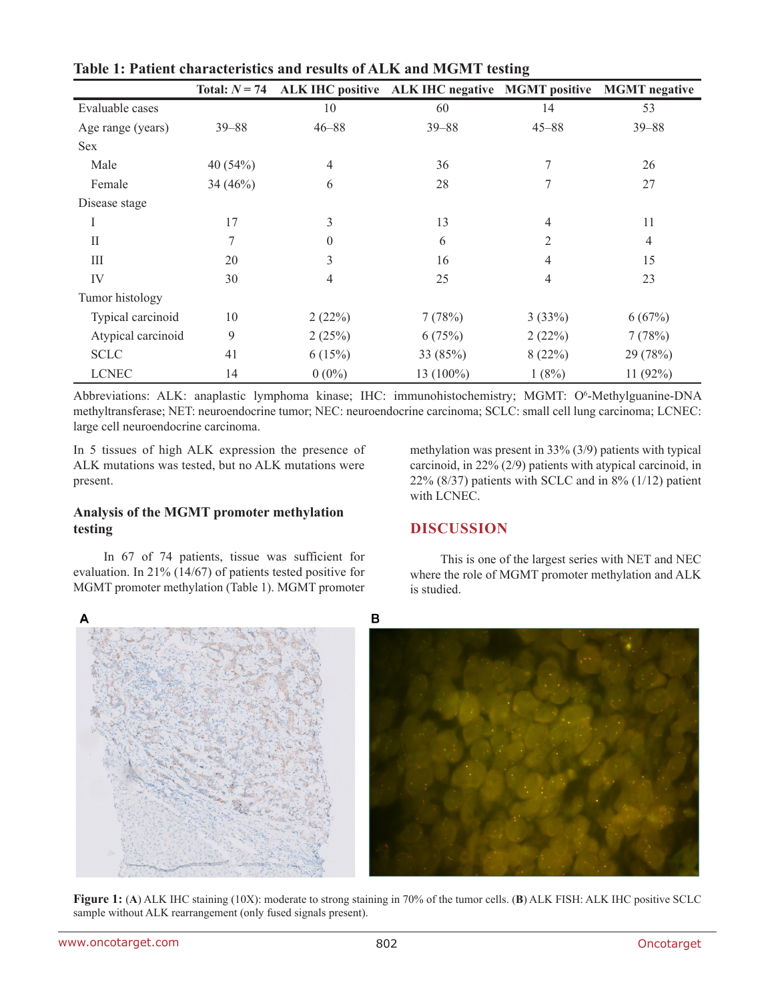|                    | Total: $N = 74$ |                  | ALK IHC positive ALK IHC negative MGMT positive MGMT negative |           |                |
|--------------------|-----------------|------------------|---------------------------------------------------------------|-----------|----------------|
| Evaluable cases    |                 | 10               | 60                                                            | 14        | 53             |
| Age range (years)  | $39 - 88$       | $46 - 88$        | $39 - 88$                                                     | $45 - 88$ | $39 - 88$      |
| <b>Sex</b>         |                 |                  |                                                               |           |                |
| Male               | 40 $(54%)$      | $\overline{4}$   | 36                                                            | 7         | 26             |
| Female             | 34(46%)         | 6                | 28                                                            | 7         | 27             |
| Disease stage      |                 |                  |                                                               |           |                |
| I                  | 17              | 3                | 13                                                            | 4         | 11             |
| $\prod$            | 7               | $\boldsymbol{0}$ | 6                                                             | 2         | $\overline{4}$ |
| Ш                  | 20              | 3                | 16                                                            | 4         | 15             |
| IV                 | 30              | $\overline{4}$   | 25                                                            | 4         | 23             |
| Tumor histology    |                 |                  |                                                               |           |                |
| Typical carcinoid  | 10              | 2(22%)           | 7(78%)                                                        | 3(33%)    | 6(67%)         |
| Atypical carcinoid | 9               | 2(25%)           | 6(75%)                                                        | 2(22%)    | 7(78%)         |
| <b>SCLC</b>        | 41              | 6(15%)           | 33 (85%)                                                      | 8(22%)    | 29 (78%)       |
| <b>LCNEC</b>       | 14              | $0(0\%)$         | 13 (100%)                                                     | 1(8%)     | 11(92%)        |

**Table 1: Patient characteristics and results of ALK and MGMT testing**

Abbreviations: ALK: anaplastic lymphoma kinase; IHC: immunohistochemistry; MGMT: O<sup>6</sup>-Methylguanine-DNA methyltransferase; NET: neuroendocrine tumor; NEC: neuroendocrine carcinoma; SCLC: small cell lung carcinoma; LCNEC: large cell neuroendocrine carcinoma.

In 5 tissues of high ALK expression the presence of ALK mutations was tested, but no ALK mutations were present.

#### **Analysis of the MGMT promoter methylation testing**

In 67 of 74 patients, tissue was sufficient for evaluation. In 21% (14/67) of patients tested positive for MGMT promoter methylation (Table 1). MGMT promoter

methylation was present in 33% (3/9) patients with typical carcinoid, in 22% (2/9) patients with atypical carcinoid, in 22% (8/37) patients with SCLC and in 8% (1/12) patient with LCNEC.

# **DISCUSSION**

This is one of the largest series with NET and NEC where the role of MGMT promoter methylation and ALK is studied.

 $\overline{B}$ 

**Figure 1:** (**A**) ALK IHC staining (10X): moderate to strong staining in 70% of the tumor cells. (**B**) ALK FISH: ALK IHC positive SCLC sample without ALK rearrangement (only fused signals present).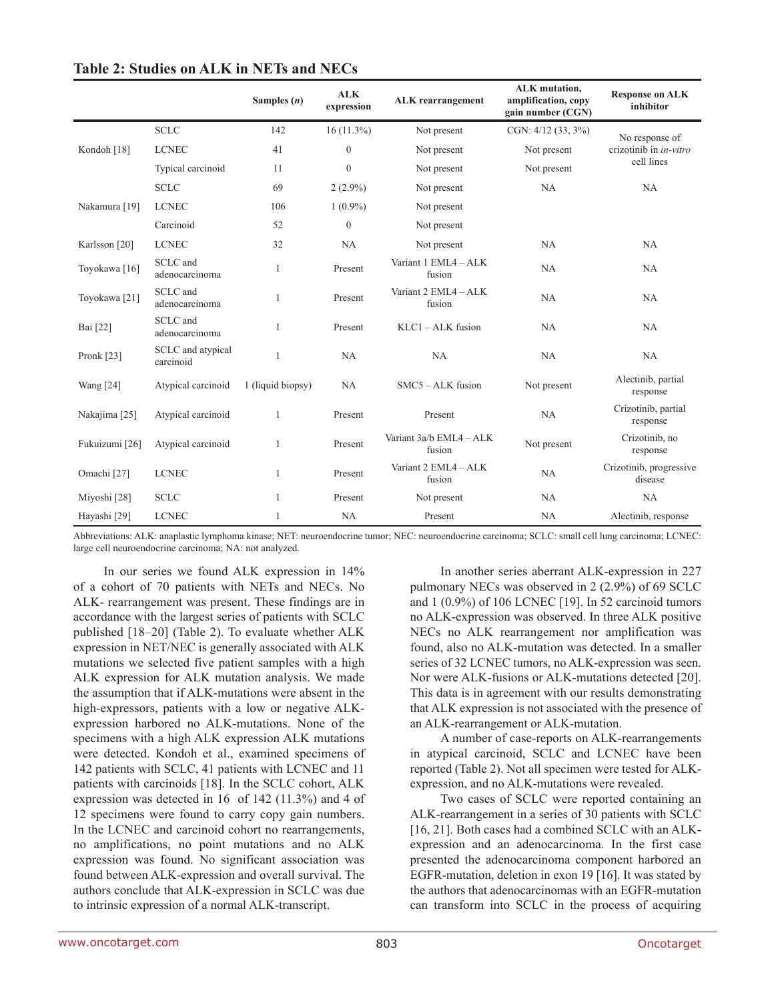|                          |                                | Samples $(n)$     | <b>ALK</b><br>expression | <b>ALK</b> rearrangement          | <b>ALK</b> mutation,<br>amplification, copy<br>gain number (CGN) | <b>Response on ALK</b><br>inhibitor  |  |
|--------------------------|--------------------------------|-------------------|--------------------------|-----------------------------------|------------------------------------------------------------------|--------------------------------------|--|
| Kondoh [18]              | <b>SCLC</b>                    | 142               | $16(11.3\%)$             | Not present                       | CGN: $4/12$ (33, 3%)                                             | No response of                       |  |
|                          | <b>LCNEC</b>                   | 41                | $\overline{0}$           | Not present                       | Not present                                                      | crizotinib in in-vitro<br>cell lines |  |
|                          | Typical carcinoid              | 11                | $\Omega$                 | Not present                       | Not present                                                      |                                      |  |
|                          | <b>SCLC</b>                    | 69                | $2(2.9\%)$               | Not present                       | NA                                                               | NA                                   |  |
| Nakamura [19]            | <b>LCNEC</b>                   | 106               | $1(0.9\%)$               | Not present                       |                                                                  |                                      |  |
|                          | Carcinoid                      | 52                | $\Omega$                 | Not present                       |                                                                  |                                      |  |
| Karlsson [20]            | <b>LCNEC</b>                   | 32                | NA                       | Not present                       | NA                                                               | NA                                   |  |
| Toyokawa <sup>[16]</sup> | SCLC and<br>adenocarcinoma     | $\mathbf{1}$      | Present                  | Variant 1 EML4 - ALK<br>fusion    | NA                                                               | NA                                   |  |
| Toyokawa [21]            | SCLC and<br>adenocarcinoma     | 1                 | Present                  | Variant 2 EML4 - ALK<br>fusion    | NA                                                               | NA                                   |  |
| Bai [22]                 | SCLC and<br>adenocarcinoma     | $\mathbf{1}$      | Present                  | $KLC1 - ALK$ fusion               | NA                                                               | NA                                   |  |
| Pronk $[23]$             | SCLC and atypical<br>carcinoid | $\mathbf{1}$      | NA                       | NA                                | NA                                                               | NA                                   |  |
| Wang [24]                | Atypical carcinoid             | 1 (liquid biopsy) | NA                       | $SMC5 - ALK$ fusion               | Not present                                                      | Alectinib, partial<br>response       |  |
| Nakajima [25]            | Atypical carcinoid             | 1                 | Present                  | Present                           | NA                                                               | Crizotinib, partial<br>response      |  |
| Fukuizumi [26]           | Atypical carcinoid             | $\mathbf{1}$      | Present                  | Variant 3a/b EML4 - ALK<br>fusion | Not present                                                      | Crizotinib, no<br>response           |  |
| Omachi [27]              | <b>LCNEC</b>                   | $\mathbf{1}$      | Present                  | Variant 2 EML4 - ALK<br>fusion    | NA                                                               | Crizotinib, progressive<br>disease   |  |
| Miyoshi <sup>[28]</sup>  | <b>SCLC</b>                    | $\mathbf{1}$      | Present                  | Not present                       | NA                                                               | NA                                   |  |
| Hayashi <sup>[29]</sup>  | <b>LCNEC</b>                   | 1                 | NA                       | Present                           | NA                                                               | Alectinib, response                  |  |

#### **Table 2: Studies on ALK in NETs and NECs**

Abbreviations: ALK: anaplastic lymphoma kinase; NET: neuroendocrine tumor; NEC: neuroendocrine carcinoma; SCLC: small cell lung carcinoma; LCNEC: large cell neuroendocrine carcinoma; NA: not analyzed.

In our series we found ALK expression in 14% of a cohort of 70 patients with NETs and NECs. No ALK- rearrangement was present. These findings are in accordance with the largest series of patients with SCLC published [18–20] (Table 2). To evaluate whether ALK expression in NET/NEC is generally associated with ALK mutations we selected five patient samples with a high ALK expression for ALK mutation analysis. We made the assumption that if ALK-mutations were absent in the high-expressors, patients with a low or negative ALKexpression harbored no ALK-mutations. None of the specimens with a high ALK expression ALK mutations were detected. Kondoh et al., examined specimens of 142 patients with SCLC, 41 patients with LCNEC and 11 patients with carcinoids [18]. In the SCLC cohort, ALK expression was detected in 16 of 142 (11.3%) and 4 of 12 specimens were found to carry copy gain numbers. In the LCNEC and carcinoid cohort no rearrangements, no amplifications, no point mutations and no ALK expression was found. No significant association was found between ALK-expression and overall survival. The authors conclude that ALK-expression in SCLC was due to intrinsic expression of a normal ALK-transcript.

In another series aberrant ALK-expression in 227 pulmonary NECs was observed in 2 (2.9%) of 69 SCLC and 1 (0.9%) of 106 LCNEC [19]. In 52 carcinoid tumors no ALK-expression was observed. In three ALK positive NECs no ALK rearrangement nor amplification was found, also no ALK-mutation was detected. In a smaller series of 32 LCNEC tumors, no ALK-expression was seen. Nor were ALK-fusions or ALK-mutations detected [20]. This data is in agreement with our results demonstrating that ALK expression is not associated with the presence of an ALK-rearrangement or ALK-mutation.

A number of case-reports on ALK-rearrangements in atypical carcinoid, SCLC and LCNEC have been reported (Table 2). Not all specimen were tested for ALKexpression, and no ALK-mutations were revealed.

Two cases of SCLC were reported containing an ALK-rearrangement in a series of 30 patients with SCLC [16, 21]. Both cases had a combined SCLC with an ALKexpression and an adenocarcinoma. In the first case presented the adenocarcinoma component harbored an EGFR-mutation, deletion in exon 19 [16]. It was stated by the authors that adenocarcinomas with an EGFR-mutation can transform into SCLC in the process of acquiring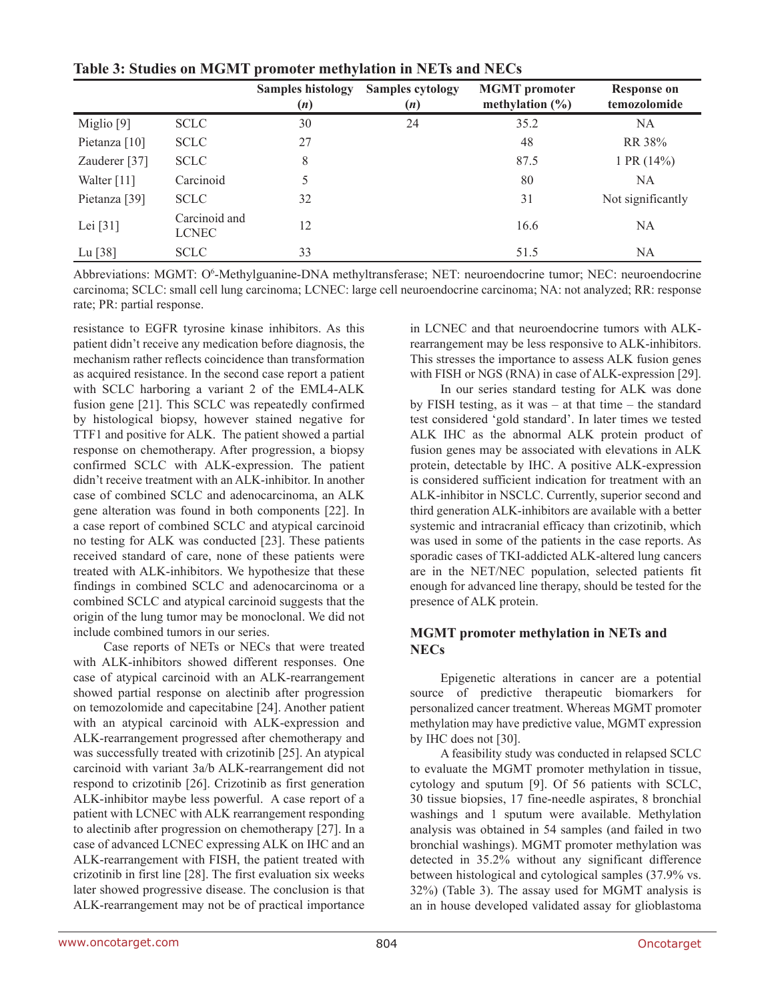|                       |                               | <b>Samples histology</b><br>(n) | <b>Samples cytology</b><br>(n) | <b>MGMT</b> promoter<br>methylation $(\% )$ | <b>Response on</b><br>temozolomide |
|-----------------------|-------------------------------|---------------------------------|--------------------------------|---------------------------------------------|------------------------------------|
| Miglio <sup>[9]</sup> | <b>SCLC</b>                   | 30                              | 24                             | 35.2                                        | NA                                 |
| Pietanza $[10]$       | <b>SCLC</b>                   | 27                              |                                | 48                                          | RR 38%                             |
| Zauderer $[37]$       | <b>SCLC</b>                   | 8                               |                                | 87.5                                        | 1 PR $(14%)$                       |
| Walter [11]           | Carcinoid                     | 5                               |                                | 80                                          | NA                                 |
| Pietanza [39]         | <b>SCLC</b>                   | 32                              |                                | 31                                          | Not significantly                  |
| Lei $[31]$            | Carcinoid and<br><b>LCNEC</b> | 12                              |                                | 16.6                                        | <b>NA</b>                          |
| Lu $[38]$             | <b>SCLC</b>                   | 33                              |                                | 51.5                                        | NA                                 |

**Table 3: Studies on MGMT promoter methylation in NETs and NECs**

Abbreviations: MGMT: O<sup>6</sup>-Methylguanine-DNA methyltransferase; NET: neuroendocrine tumor; NEC: neuroendocrine carcinoma; SCLC: small cell lung carcinoma; LCNEC: large cell neuroendocrine carcinoma; NA: not analyzed; RR: response rate; PR: partial response.

resistance to EGFR tyrosine kinase inhibitors. As this patient didn't receive any medication before diagnosis, the mechanism rather reflects coincidence than transformation as acquired resistance. In the second case report a patient with SCLC harboring a variant 2 of the EML4-ALK fusion gene [21]. This SCLC was repeatedly confirmed by histological biopsy, however stained negative for TTF1 and positive for ALK. The patient showed a partial response on chemotherapy. After progression, a biopsy confirmed SCLC with ALK-expression. The patient didn't receive treatment with an ALK-inhibitor. In another case of combined SCLC and adenocarcinoma, an ALK gene alteration was found in both components [22]. In a case report of combined SCLC and atypical carcinoid no testing for ALK was conducted [23]. These patients received standard of care, none of these patients were treated with ALK-inhibitors. We hypothesize that these findings in combined SCLC and adenocarcinoma or a combined SCLC and atypical carcinoid suggests that the origin of the lung tumor may be monoclonal. We did not include combined tumors in our series.

Case reports of NETs or NECs that were treated with ALK-inhibitors showed different responses. One case of atypical carcinoid with an ALK-rearrangement showed partial response on alectinib after progression on temozolomide and capecitabine [24]. Another patient with an atypical carcinoid with ALK-expression and ALK-rearrangement progressed after chemotherapy and was successfully treated with crizotinib [25]. An atypical carcinoid with variant 3a/b ALK-rearrangement did not respond to crizotinib [26]. Crizotinib as first generation ALK-inhibitor maybe less powerful. A case report of a patient with LCNEC with ALK rearrangement responding to alectinib after progression on chemotherapy [27]. In a case of advanced LCNEC expressing ALK on IHC and an ALK-rearrangement with FISH, the patient treated with crizotinib in first line [28]. The first evaluation six weeks later showed progressive disease. The conclusion is that ALK-rearrangement may not be of practical importance in LCNEC and that neuroendocrine tumors with ALKrearrangement may be less responsive to ALK-inhibitors. This stresses the importance to assess ALK fusion genes with FISH or NGS (RNA) in case of ALK-expression [29].

In our series standard testing for ALK was done by FISH testing, as it was – at that time – the standard test considered 'gold standard'. In later times we tested ALK IHC as the abnormal ALK protein product of fusion genes may be associated with elevations in ALK protein, detectable by IHC. A positive ALK-expression is considered sufficient indication for treatment with an ALK-inhibitor in NSCLC. Currently, superior second and third generation ALK-inhibitors are available with a better systemic and intracranial efficacy than crizotinib, which was used in some of the patients in the case reports. As sporadic cases of TKI-addicted ALK-altered lung cancers are in the NET/NEC population, selected patients fit enough for advanced line therapy, should be tested for the presence of ALK protein.

#### **MGMT promoter methylation in NETs and NECs**

Epigenetic alterations in cancer are a potential source of predictive therapeutic biomarkers for personalized cancer treatment. Whereas MGMT promoter methylation may have predictive value, MGMT expression by IHC does not [30].

A feasibility study was conducted in relapsed SCLC to evaluate the MGMT promoter methylation in tissue, cytology and sputum [9]. Of 56 patients with SCLC, 30 tissue biopsies, 17 fine-needle aspirates, 8 bronchial washings and 1 sputum were available. Methylation analysis was obtained in 54 samples (and failed in two bronchial washings). MGMT promoter methylation was detected in 35.2% without any significant difference between histological and cytological samples (37.9% vs. 32%) (Table 3). The assay used for MGMT analysis is an in house developed validated assay for glioblastoma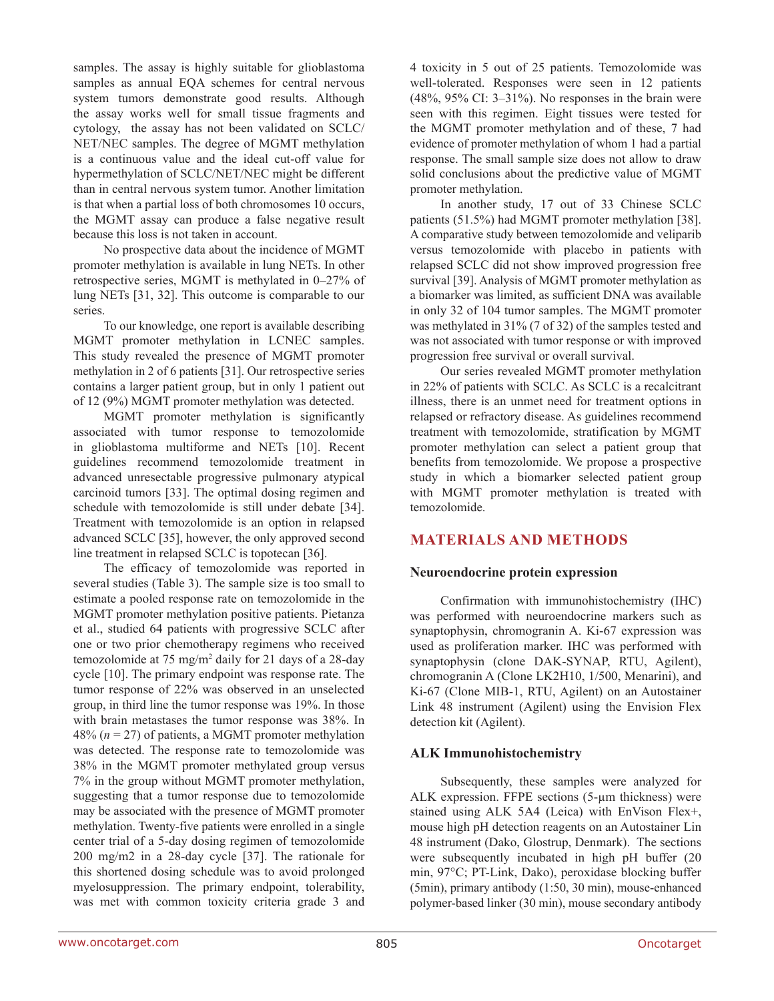samples. The assay is highly suitable for glioblastoma samples as annual EQA schemes for central nervous system tumors demonstrate good results. Although the assay works well for small tissue fragments and cytology, the assay has not been validated on SCLC/ NET/NEC samples. The degree of MGMT methylation is a continuous value and the ideal cut-off value for hypermethylation of SCLC/NET/NEC might be different than in central nervous system tumor. Another limitation is that when a partial loss of both chromosomes 10 occurs, the MGMT assay can produce a false negative result because this loss is not taken in account.

No prospective data about the incidence of MGMT promoter methylation is available in lung NETs. In other retrospective series, MGMT is methylated in 0–27% of lung NETs [31, 32]. This outcome is comparable to our series.

To our knowledge, one report is available describing MGMT promoter methylation in LCNEC samples. This study revealed the presence of MGMT promoter methylation in 2 of 6 patients [31]. Our retrospective series contains a larger patient group, but in only 1 patient out of 12 (9%) MGMT promoter methylation was detected.

MGMT promoter methylation is significantly associated with tumor response to temozolomide in glioblastoma multiforme and NETs [10]. Recent guidelines recommend temozolomide treatment in advanced unresectable progressive pulmonary atypical carcinoid tumors [33]. The optimal dosing regimen and schedule with temozolomide is still under debate [34]. Treatment with temozolomide is an option in relapsed advanced SCLC [35], however, the only approved second line treatment in relapsed SCLC is topotecan [36].

The efficacy of temozolomide was reported in several studies (Table 3). The sample size is too small to estimate a pooled response rate on temozolomide in the MGMT promoter methylation positive patients. Pietanza et al., studied 64 patients with progressive SCLC after one or two prior chemotherapy regimens who received temozolomide at 75 mg/m2 daily for 21 days of a 28-day cycle [10]. The primary endpoint was response rate. The tumor response of 22% was observed in an unselected group, in third line the tumor response was 19%. In those with brain metastases the tumor response was 38%. In 48% (*n* = 27) of patients, a MGMT promoter methylation was detected. The response rate to temozolomide was 38% in the MGMT promoter methylated group versus 7% in the group without MGMT promoter methylation, suggesting that a tumor response due to temozolomide may be associated with the presence of MGMT promoter methylation. Twenty-five patients were enrolled in a single center trial of a 5-day dosing regimen of temozolomide 200 mg/m2 in a 28-day cycle [37]. The rationale for this shortened dosing schedule was to avoid prolonged myelosuppression. The primary endpoint, tolerability, was met with common toxicity criteria grade 3 and

4 toxicity in 5 out of 25 patients. Temozolomide was well-tolerated. Responses were seen in 12 patients (48%, 95% CI: 3–31%). No responses in the brain were seen with this regimen. Eight tissues were tested for the MGMT promoter methylation and of these, 7 had evidence of promoter methylation of whom 1 had a partial response. The small sample size does not allow to draw solid conclusions about the predictive value of MGMT promoter methylation.

In another study, 17 out of 33 Chinese SCLC patients (51.5%) had MGMT promoter methylation [38]. A comparative study between temozolomide and veliparib versus temozolomide with placebo in patients with relapsed SCLC did not show improved progression free survival [39]. Analysis of MGMT promoter methylation as a biomarker was limited, as sufficient DNA was available in only 32 of 104 tumor samples. The MGMT promoter was methylated in 31% (7 of 32) of the samples tested and was not associated with tumor response or with improved progression free survival or overall survival.

Our series revealed MGMT promoter methylation in 22% of patients with SCLC. As SCLC is a recalcitrant illness, there is an unmet need for treatment options in relapsed or refractory disease. As guidelines recommend treatment with temozolomide, stratification by MGMT promoter methylation can select a patient group that benefits from temozolomide. We propose a prospective study in which a biomarker selected patient group with MGMT promoter methylation is treated with temozolomide.

# **MATERIALS AND METHODS**

#### **Neuroendocrine protein expression**

Confirmation with immunohistochemistry (IHC) was performed with neuroendocrine markers such as synaptophysin, chromogranin A. Ki-67 expression was used as proliferation marker. IHC was performed with synaptophysin (clone DAK-SYNAP, RTU, Agilent), chromogranin A (Clone LK2H10, 1/500, Menarini), and Ki-67 (Clone MIB-1, RTU, Agilent) on an Autostainer Link 48 instrument (Agilent) using the Envision Flex detection kit (Agilent).

#### **ALK Immunohistochemistry**

Subsequently, these samples were analyzed for ALK expression. FFPE sections (5-µm thickness) were stained using ALK 5A4 (Leica) with EnVison Flex+, mouse high pH detection reagents on an Autostainer Lin 48 instrument (Dako, Glostrup, Denmark). The sections were subsequently incubated in high pH buffer (20 min, 97°C; PT-Link, Dako), peroxidase blocking buffer (5min), primary antibody (1:50, 30 min), mouse-enhanced polymer-based linker (30 min), mouse secondary antibody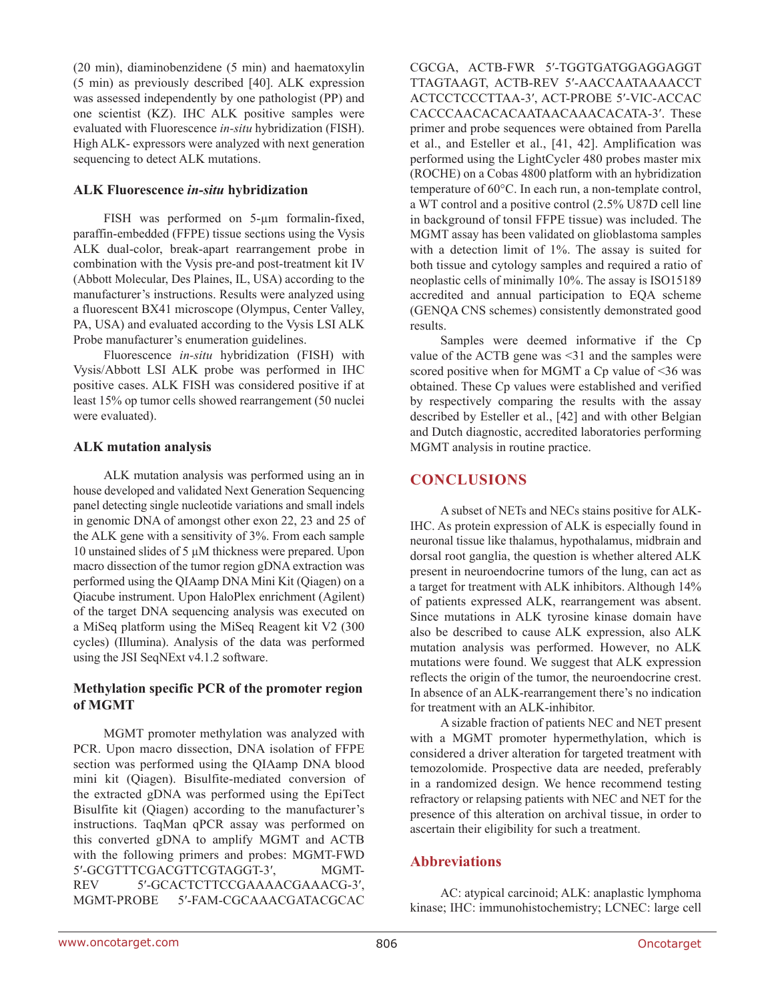(20 min), diaminobenzidene (5 min) and haematoxylin (5 min) as previously described [40]. ALK expression was assessed independently by one pathologist (PP) and one scientist (KZ). IHC ALK positive samples were evaluated with Fluorescence *in-situ* hybridization (FISH). High ALK- expressors were analyzed with next generation sequencing to detect ALK mutations.

#### **ALK Fluorescence** *in-situ* **hybridization**

FISH was performed on 5-µm formalin-fixed, paraffin-embedded (FFPE) tissue sections using the Vysis ALK dual-color, break-apart rearrangement probe in combination with the Vysis pre-and post-treatment kit IV (Abbott Molecular, Des Plaines, IL, USA) according to the manufacturer's instructions. Results were analyzed using a fluorescent BX41 microscope (Olympus, Center Valley, PA, USA) and evaluated according to the Vysis LSI ALK Probe manufacturer's enumeration guidelines.

Fluorescence *in-situ* hybridization (FISH) with Vysis/Abbott LSI ALK probe was performed in IHC positive cases. ALK FISH was considered positive if at least 15% op tumor cells showed rearrangement (50 nuclei were evaluated).

#### **ALK mutation analysis**

ALK mutation analysis was performed using an in house developed and validated Next Generation Sequencing panel detecting single nucleotide variations and small indels in genomic DNA of amongst other exon 22, 23 and 25 of the ALK gene with a sensitivity of 3%. From each sample 10 unstained slides of 5 µM thickness were prepared. Upon macro dissection of the tumor region gDNA extraction was performed using the QIAamp DNA Mini Kit (Qiagen) on a Qiacube instrument. Upon HaloPlex enrichment (Agilent) of the target DNA sequencing analysis was executed on a MiSeq platform using the MiSeq Reagent kit V2 (300 cycles) (Illumina). Analysis of the data was performed using the JSI SeqNExt v4.1.2 software.

#### **Methylation specific PCR of the promoter region of MGMT**

MGMT promoter methylation was analyzed with PCR. Upon macro dissection, DNA isolation of FFPE section was performed using the QIAamp DNA blood mini kit (Qiagen). Bisulfite-mediated conversion of the extracted gDNA was performed using the EpiTect Bisulfite kit (Qiagen) according to the manufacturer's instructions. TaqMan qPCR assay was performed on this converted gDNA to amplify MGMT and ACTB with the following primers and probes: MGMT-FWD 5′-GCGTTTCGACGTTCGTAGGT-3′, MGMT-REV 5′-GCACTCTTCCGAAAACGAAACG-3′, MGMT-PROBE 5′-FAM-CGCAAACGATACGCAC

CGCGA, ACTB-FWR 5′-TGGTGATGGAGGAGGT TTAGTAAGT, ACTB-REV 5′-AACCAATAAAACCT ACTCCTCCCTTAA-3′, ACT-PROBE 5′-VIC-ACCAC CACCCAACACACAATAACAAACACATA-3′. These primer and probe sequences were obtained from Parella et al., and Esteller et al., [41, 42]. Amplification was performed using the LightCycler 480 probes master mix (ROCHE) on a Cobas 4800 platform with an hybridization temperature of 60°C. In each run, a non-template control, a WT control and a positive control (2.5% U87D cell line in background of tonsil FFPE tissue) was included. The MGMT assay has been validated on glioblastoma samples with a detection limit of 1%. The assay is suited for both tissue and cytology samples and required a ratio of neoplastic cells of minimally 10%. The assay is ISO15189 accredited and annual participation to EQA scheme (GENQA CNS schemes) consistently demonstrated good results.

Samples were deemed informative if the Cp value of the ACTB gene was <31 and the samples were scored positive when for MGMT a Cp value of <36 was obtained. These Cp values were established and verified by respectively comparing the results with the assay described by Esteller et al., [42] and with other Belgian and Dutch diagnostic, accredited laboratories performing MGMT analysis in routine practice.

# **CONCLUSIONS**

A subset of NETs and NECs stains positive for ALK-IHC. As protein expression of ALK is especially found in neuronal tissue like thalamus, hypothalamus, midbrain and dorsal root ganglia, the question is whether altered ALK present in neuroendocrine tumors of the lung, can act as a target for treatment with ALK inhibitors. Although 14% of patients expressed ALK, rearrangement was absent. Since mutations in ALK tyrosine kinase domain have also be described to cause ALK expression, also ALK mutation analysis was performed. However, no ALK mutations were found. We suggest that ALK expression reflects the origin of the tumor, the neuroendocrine crest. In absence of an ALK-rearrangement there's no indication for treatment with an ALK-inhibitor.

A sizable fraction of patients NEC and NET present with a MGMT promoter hypermethylation, which is considered a driver alteration for targeted treatment with temozolomide. Prospective data are needed, preferably in a randomized design. We hence recommend testing refractory or relapsing patients with NEC and NET for the presence of this alteration on archival tissue, in order to ascertain their eligibility for such a treatment.

# **Abbreviations**

AC: atypical carcinoid; ALK: anaplastic lymphoma kinase; IHC: immunohistochemistry; LCNEC: large cell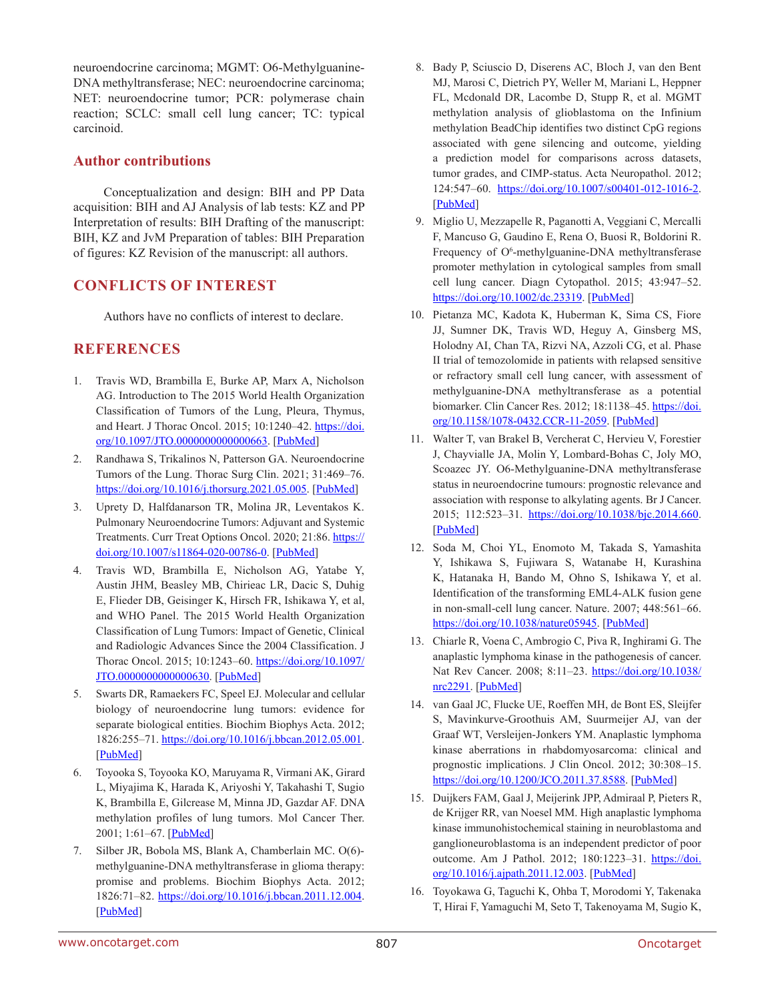neuroendocrine carcinoma; MGMT: O6-Methylguanine-DNA methyltransferase; NEC: neuroendocrine carcinoma; NET: neuroendocrine tumor; PCR: polymerase chain reaction; SCLC: small cell lung cancer; TC: typical carcinoid.

### **Author contributions**

Conceptualization and design: BIH and PP Data acquisition: BIH and AJ Analysis of lab tests: KZ and PP Interpretation of results: BIH Drafting of the manuscript: BIH, KZ and JvM Preparation of tables: BIH Preparation of figures: KZ Revision of the manuscript: all authors.

### **CONFLICTS OF INTEREST**

Authors have no conflicts of interest to declare.

### **REFERENCES**

- 1. Travis WD, Brambilla E, Burke AP, Marx A, Nicholson AG. Introduction to The 2015 World Health Organization Classification of Tumors of the Lung, Pleura, Thymus, and Heart. J Thorac Oncol. 2015; 10:1240-42. [https://doi.](https://doi.org/10.1097/JTO.0000000000000663) [org/10.1097/JTO.0000000000000663.](https://doi.org/10.1097/JTO.0000000000000663) [\[PubMed\]](https://pubmed.ncbi.nlm.nih.gov/26291007)
- 2. Randhawa S, Trikalinos N, Patterson GA. Neuroendocrine Tumors of the Lung. Thorac Surg Clin. 2021; 31:469–76. [https://doi.org/10.1016/j.thorsurg.2021.05.005.](https://doi.org/10.1016/j.thorsurg.2021.05.005) [\[PubMed\]](https://pubmed.ncbi.nlm.nih.gov/34696859)
- 3. Uprety D, Halfdanarson TR, Molina JR, Leventakos K. Pulmonary Neuroendocrine Tumors: Adjuvant and Systemic Treatments. Curr Treat Options Oncol. 2020; 21:86. [https://](https://doi.org/10.1007/s11864-020-00786-0) [doi.org/10.1007/s11864-020-00786-0.](https://doi.org/10.1007/s11864-020-00786-0) [\[PubMed\]](https://pubmed.ncbi.nlm.nih.gov/32862320)
- 4. Travis WD, Brambilla E, Nicholson AG, Yatabe Y, Austin JHM, Beasley MB, Chirieac LR, Dacic S, Duhig E, Flieder DB, Geisinger K, Hirsch FR, Ishikawa Y, et al, and WHO Panel. The 2015 World Health Organization Classification of Lung Tumors: Impact of Genetic, Clinical and Radiologic Advances Since the 2004 Classification. J Thorac Oncol. 2015; 10:1243–60. [https://doi.org/10.1097/](https://doi.org/10.1097/JTO.0000000000000630) [JTO.0000000000000630.](https://doi.org/10.1097/JTO.0000000000000630) [\[PubMed\]](https://pubmed.ncbi.nlm.nih.gov/26291008)
- 5. Swarts DR, Ramaekers FC, Speel EJ. Molecular and cellular biology of neuroendocrine lung tumors: evidence for separate biological entities. Biochim Biophys Acta. 2012; 1826:255–71.<https://doi.org/10.1016/j.bbcan.2012.05.001>. [[PubMed\]](https://pubmed.ncbi.nlm.nih.gov/22579738)
- 6. Toyooka S, Toyooka KO, Maruyama R, Virmani AK, Girard L, Miyajima K, Harada K, Ariyoshi Y, Takahashi T, Sugio K, Brambilla E, Gilcrease M, Minna JD, Gazdar AF. DNA methylation profiles of lung tumors. Mol Cancer Ther. 2001; 1:61–67. [[PubMed](https://pubmed.ncbi.nlm.nih.gov/12467239)]
- 7. Silber JR, Bobola MS, Blank A, Chamberlain MC. O(6) methylguanine-DNA methyltransferase in glioma therapy: promise and problems. Biochim Biophys Acta. 2012; 1826:71–82. <https://doi.org/10.1016/j.bbcan.2011.12.004>. [[PubMed\]](https://pubmed.ncbi.nlm.nih.gov/22244911)
- 8. Bady P, Sciuscio D, Diserens AC, Bloch J, van den Bent MJ, Marosi C, Dietrich PY, Weller M, Mariani L, Heppner FL, Mcdonald DR, Lacombe D, Stupp R, et al. MGMT methylation analysis of glioblastoma on the Infinium methylation BeadChip identifies two distinct CpG regions associated with gene silencing and outcome, yielding a prediction model for comparisons across datasets, tumor grades, and CIMP-status. Acta Neuropathol. 2012; 124:547–60. [https://doi.org/10.1007/s00401-012-1016-2.](https://doi.org/10.1007/s00401-012-1016-2) [\[PubMed\]](https://pubmed.ncbi.nlm.nih.gov/22810491)
- 9. Miglio U, Mezzapelle R, Paganotti A, Veggiani C, Mercalli F, Mancuso G, Gaudino E, Rena O, Buosi R, Boldorini R. Frequency of O<sup>6</sup>-methylguanine-DNA methyltransferase promoter methylation in cytological samples from small cell lung cancer. Diagn Cytopathol. 2015; 43:947–52. [https://doi.org/10.1002/dc.23319.](https://doi.org/10.1002/dc.23319) [\[PubMed\]](https://pubmed.ncbi.nlm.nih.gov/26152836)
- 10. Pietanza MC, Kadota K, Huberman K, Sima CS, Fiore JJ, Sumner DK, Travis WD, Heguy A, Ginsberg MS, Holodny AI, Chan TA, Rizvi NA, Azzoli CG, et al. Phase II trial of temozolomide in patients with relapsed sensitive or refractory small cell lung cancer, with assessment of methylguanine-DNA methyltransferase as a potential biomarker. Clin Cancer Res. 2012; 18:1138-45. [https://doi.](https://doi.org/10.1158/1078-0432.CCR-11-2059) [org/10.1158/1078-0432.CCR-11-2059](https://doi.org/10.1158/1078-0432.CCR-11-2059). [[PubMed](https://pubmed.ncbi.nlm.nih.gov/22228633)]
- 11. Walter T, van Brakel B, Vercherat C, Hervieu V, Forestier J, Chayvialle JA, Molin Y, Lombard-Bohas C, Joly MO, Scoazec JY. O6-Methylguanine-DNA methyltransferase status in neuroendocrine tumours: prognostic relevance and association with response to alkylating agents. Br J Cancer. 2015; 112:523-31. [https://doi.org/10.1038/bjc.2014.660.](https://doi.org/10.1038/bjc.2014.660) [\[PubMed\]](https://pubmed.ncbi.nlm.nih.gov/25584486)
- 12. Soda M, Choi YL, Enomoto M, Takada S, Yamashita Y, Ishikawa S, Fujiwara S, Watanabe H, Kurashina K, Hatanaka H, Bando M, Ohno S, Ishikawa Y, et al. Identification of the transforming EML4-ALK fusion gene in non-small-cell lung cancer. Nature. 2007; 448:561–66. <https://doi.org/10.1038/nature05945>. [[PubMed](https://pubmed.ncbi.nlm.nih.gov/17625570)]
- 13. Chiarle R, Voena C, Ambrogio C, Piva R, Inghirami G. The anaplastic lymphoma kinase in the pathogenesis of cancer. Nat Rev Cancer. 2008; 8:11–23. [https://doi.org/10.1038/](https://doi.org/10.1038/nrc2291) [nrc2291.](https://doi.org/10.1038/nrc2291) [\[PubMed\]](https://pubmed.ncbi.nlm.nih.gov/18097461)
- 14. van Gaal JC, Flucke UE, Roeffen MH, de Bont ES, Sleijfer S, Mavinkurve-Groothuis AM, Suurmeijer AJ, van der Graaf WT, Versleijen-Jonkers YM. Anaplastic lymphoma kinase aberrations in rhabdomyosarcoma: clinical and prognostic implications. J Clin Oncol. 2012; 30:308–15. [https://doi.org/10.1200/JCO.2011.37.8588.](https://doi.org/10.1200/JCO.2011.37.8588) [\[PubMed\]](https://pubmed.ncbi.nlm.nih.gov/22184391)
- 15. Duijkers FAM, Gaal J, Meijerink JPP, Admiraal P, Pieters R, de Krijger RR, van Noesel MM. High anaplastic lymphoma kinase immunohistochemical staining in neuroblastoma and ganglioneuroblastoma is an independent predictor of poor outcome. Am J Pathol. 2012; 180:1223-31. [https://doi.](https://doi.org/10.1016/j.ajpath.2011.12.003) [org/10.1016/j.ajpath.2011.12.003](https://doi.org/10.1016/j.ajpath.2011.12.003). [[PubMed](https://pubmed.ncbi.nlm.nih.gov/22203052)]
- 16. Toyokawa G, Taguchi K, Ohba T, Morodomi Y, Takenaka T, Hirai F, Yamaguchi M, Seto T, Takenoyama M, Sugio K,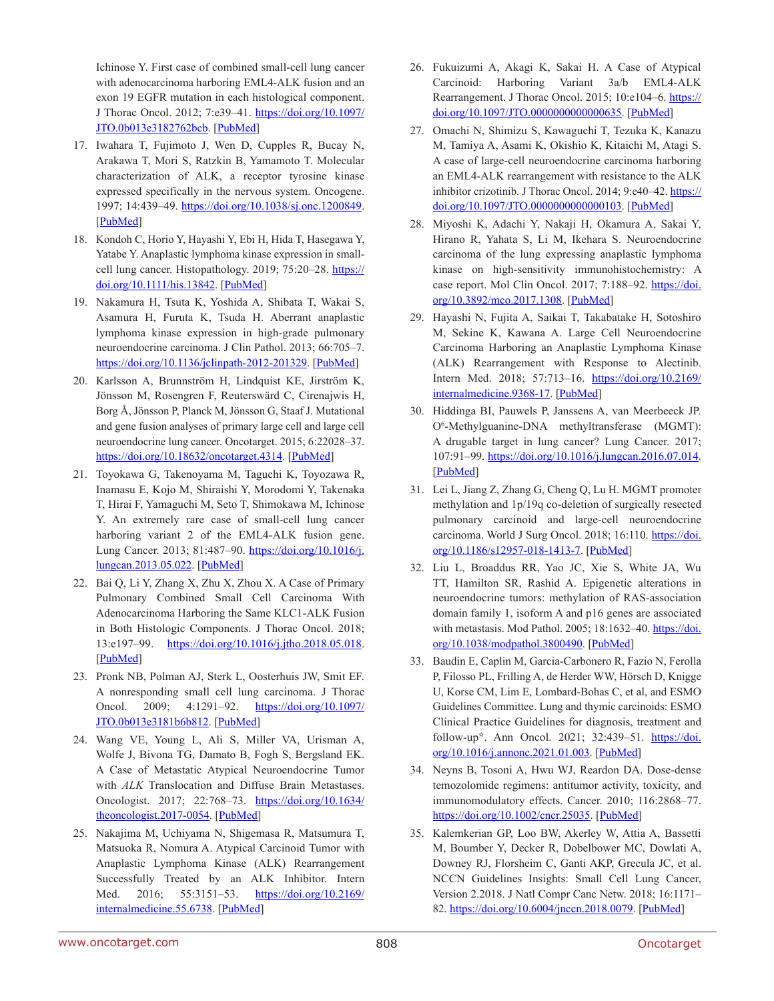Ichinose Y. First case of combined small-cell lung cancer with adenocarcinoma harboring EML4-ALK fusion and an exon 19 EGFR mutation in each histological component. J Thorac Oncol. 2012; 7:e39–41. [https://doi.org/10.1097/](https://doi.org/10.1097/JTO.0b013e3182762bcb) [JTO.0b013e3182762bcb.](https://doi.org/10.1097/JTO.0b013e3182762bcb) [\[PubMed\]](https://pubmed.ncbi.nlm.nih.gov/23154565)

- 17. Iwahara T, Fujimoto J, Wen D, Cupples R, Bucay N, Arakawa T, Mori S, Ratzkin B, Yamamoto T. Molecular characterization of ALK, a receptor tyrosine kinase expressed specifically in the nervous system. Oncogene. 1997; 14:439–49. <https://doi.org/10.1038/sj.onc.1200849>. [[PubMed\]](https://pubmed.ncbi.nlm.nih.gov/9053841)
- 18. Kondoh C, Horio Y, Hayashi Y, Ebi H, Hida T, Hasegawa Y, Yatabe Y. Anaplastic lymphoma kinase expression in smallcell lung cancer. Histopathology. 2019; 75:20-28. [https://](https://doi.org/10.1111/his.13842) [doi.org/10.1111/his.13842](https://doi.org/10.1111/his.13842). [[PubMed](https://pubmed.ncbi.nlm.nih.gov/30790327)]
- 19. Nakamura H, Tsuta K, Yoshida A, Shibata T, Wakai S, Asamura H, Furuta K, Tsuda H. Aberrant anaplastic lymphoma kinase expression in high-grade pulmonary neuroendocrine carcinoma. J Clin Pathol. 2013; 66:705–7. [https://doi.org/10.1136/jclinpath-2012-201329.](https://doi.org/10.1136/jclinpath-2012-201329) [\[PubMed\]](https://pubmed.ncbi.nlm.nih.gov/23618692)
- 20. Karlsson A, Brunnström H, Lindquist KE, Jirström K, Jönsson M, Rosengren F, Reuterswärd C, Cirenajwis H, Borg Å, Jönsson P, Planck M, Jönsson G, Staaf J. Mutational and gene fusion analyses of primary large cell and large cell neuroendocrine lung cancer. Oncotarget. 2015; 6:22028–37. <https://doi.org/10.18632/oncotarget.4314>. [[PubMed](https://pubmed.ncbi.nlm.nih.gov/26124082)]
- 21. Toyokawa G, Takenoyama M, Taguchi K, Toyozawa R, Inamasu E, Kojo M, Shiraishi Y, Morodomi Y, Takenaka T, Hirai F, Yamaguchi M, Seto T, Shimokawa M, Ichinose Y. An extremely rare case of small-cell lung cancer harboring variant 2 of the EML4-ALK fusion gene. Lung Cancer. 2013; 81:487–90. [https://doi.org/10.1016/j.](https://doi.org/10.1016/j.lungcan.2013.05.022) [lungcan.2013.05.022.](https://doi.org/10.1016/j.lungcan.2013.05.022) [\[PubMed\]](https://pubmed.ncbi.nlm.nih.gov/23787064)
- 22. Bai Q, Li Y, Zhang X, Zhu X, Zhou X. A Case of Primary Pulmonary Combined Small Cell Carcinoma With Adenocarcinoma Harboring the Same KLC1-ALK Fusion in Both Histologic Components. J Thorac Oncol. 2018; 13:e197–99. <https://doi.org/10.1016/j.jtho.2018.05.018>. [[PubMed\]](https://pubmed.ncbi.nlm.nih.gov/30244852)
- 23. Pronk NB, Polman AJ, Sterk L, Oosterhuis JW, Smit EF. A nonresponding small cell lung carcinoma. J Thorac Oncol. 2009; 4:1291–92. [https://doi.org/10.1097/](https://doi.org/10.1097/JTO.0b013e3181b6b812) [JTO.0b013e3181b6b812](https://doi.org/10.1097/JTO.0b013e3181b6b812). [[PubMed](https://pubmed.ncbi.nlm.nih.gov/20197736)]
- 24. Wang VE, Young L, Ali S, Miller VA, Urisman A, Wolfe J, Bivona TG, Damato B, Fogh S, Bergsland EK. A Case of Metastatic Atypical Neuroendocrine Tumor with *ALK* Translocation and Diffuse Brain Metastases. Oncologist. 2017; 22:768–73. [https://doi.org/10.1634/](https://doi.org/10.1634/theoncologist.2017-0054) [theoncologist.2017-0054.](https://doi.org/10.1634/theoncologist.2017-0054) [\[PubMed\]](https://pubmed.ncbi.nlm.nih.gov/28507205)
- 25. Nakajima M, Uchiyama N, Shigemasa R, Matsumura T, Matsuoka R, Nomura A. Atypical Carcinoid Tumor with Anaplastic Lymphoma Kinase (ALK) Rearrangement Successfully Treated by an ALK Inhibitor. Intern Med. 2016; 55:3151–53. [https://doi.org/10.2169/](https://doi.org/10.2169/internalmedicine.55.6738) [internalmedicine.55.6738.](https://doi.org/10.2169/internalmedicine.55.6738) [\[PubMed\]](https://pubmed.ncbi.nlm.nih.gov/27803410)
- 26. Fukuizumi A, Akagi K, Sakai H. A Case of Atypical Carcinoid: Harboring Variant 3a/b EML4-ALK Rearrangement. J Thorac Oncol. 2015; 10:e104-6. [https://](https://doi.org/10.1097/JTO.0000000000000635) [doi.org/10.1097/JTO.0000000000000635.](https://doi.org/10.1097/JTO.0000000000000635) [\[PubMed\]](https://pubmed.ncbi.nlm.nih.gov/26398829)
- 27. Omachi N, Shimizu S, Kawaguchi T, Tezuka K, Kanazu M, Tamiya A, Asami K, Okishio K, Kitaichi M, Atagi S. A case of large-cell neuroendocrine carcinoma harboring an EML4-ALK rearrangement with resistance to the ALK inhibitor crizotinib. J Thorac Oncol. 2014; 9:e40–42. [https://](https://doi.org/10.1097/JTO.0000000000000103) [doi.org/10.1097/JTO.0000000000000103.](https://doi.org/10.1097/JTO.0000000000000103) [\[PubMed\]](https://pubmed.ncbi.nlm.nih.gov/24828670)
- 28. Miyoshi K, Adachi Y, Nakaji H, Okamura A, Sakai Y, Hirano R, Yahata S, Li M, Ikehara S. Neuroendocrine carcinoma of the lung expressing anaplastic lymphoma kinase on high-sensitivity immunohistochemistry: A case report. Mol Clin Oncol. 2017; 7:188-92. [https://doi.](https://doi.org/10.3892/mco.2017.1308) [org/10.3892/mco.2017.1308.](https://doi.org/10.3892/mco.2017.1308) [\[PubMed\]](https://pubmed.ncbi.nlm.nih.gov/28781783)
- 29. Hayashi N, Fujita A, Saikai T, Takabatake H, Sotoshiro M, Sekine K, Kawana A. Large Cell Neuroendocrine Carcinoma Harboring an Anaplastic Lymphoma Kinase (ALK) Rearrangement with Response to Alectinib. Intern Med. 2018; 57:713-16. [https://doi.org/10.2169/](https://doi.org/10.2169/internalmedicine.9368-17) [internalmedicine.9368-17](https://doi.org/10.2169/internalmedicine.9368-17). [[PubMed](https://pubmed.ncbi.nlm.nih.gov/29151522)]
- 30. Hiddinga BI, Pauwels P, Janssens A, van Meerbeeck JP. O6 -Methylguanine-DNA methyltransferase (MGMT): A drugable target in lung cancer? Lung Cancer. 2017; 107:91–99. [https://doi.org/10.1016/j.lungcan.2016.07.014.](https://doi.org/10.1016/j.lungcan.2016.07.014) [\[PubMed\]](https://pubmed.ncbi.nlm.nih.gov/27492578)
- 31. Lei L, Jiang Z, Zhang G, Cheng Q, Lu H. MGMT promoter methylation and 1p/19q co-deletion of surgically resected pulmonary carcinoid and large-cell neuroendocrine carcinoma. World J Surg Oncol. 2018; 16:110. [https://doi.](https://doi.org/10.1186/s12957-018-1413-7) [org/10.1186/s12957-018-1413-7](https://doi.org/10.1186/s12957-018-1413-7). [[PubMed](https://pubmed.ncbi.nlm.nih.gov/29914531)]
- 32. Liu L, Broaddus RR, Yao JC, Xie S, White JA, Wu TT, Hamilton SR, Rashid A. Epigenetic alterations in neuroendocrine tumors: methylation of RAS-association domain family 1, isoform A and p16 genes are associated with metastasis. Mod Pathol. 2005; 18:1632–40. [https://doi.](https://doi.org/10.1038/modpathol.3800490) [org/10.1038/modpathol.3800490.](https://doi.org/10.1038/modpathol.3800490) [\[PubMed\]](https://pubmed.ncbi.nlm.nih.gov/16258509)
- 33. Baudin E, Caplin M, Garcia-Carbonero R, Fazio N, Ferolla P, Filosso PL, Frilling A, de Herder WW, Hörsch D, Knigge U, Korse CM, Lim E, Lombard-Bohas C, et al, and ESMO Guidelines Committee. Lung and thymic carcinoids: ESMO Clinical Practice Guidelines for diagnosis, treatment and follow-up\*. Ann Oncol. 2021; 32:439–51. [https://doi.](https://doi.org/10.1016/j.annonc.2021.01.003) [org/10.1016/j.annonc.2021.01.003.](https://doi.org/10.1016/j.annonc.2021.01.003) [\[PubMed\]](https://pubmed.ncbi.nlm.nih.gov/33482246)
- 34. Neyns B, Tosoni A, Hwu WJ, Reardon DA. Dose-dense temozolomide regimens: antitumor activity, toxicity, and immunomodulatory effects. Cancer. 2010; 116:2868–77. <https://doi.org/10.1002/cncr.25035>. [[PubMed](https://pubmed.ncbi.nlm.nih.gov/20564393)]
- 35. Kalemkerian GP, Loo BW, Akerley W, Attia A, Bassetti M, Boumber Y, Decker R, Dobelbower MC, Dowlati A, Downey RJ, Florsheim C, Ganti AKP, Grecula JC, et al. NCCN Guidelines Insights: Small Cell Lung Cancer, Version 2.2018. J Natl Compr Canc Netw. 2018; 16:1171– 82. [https://doi.org/10.6004/jnccn.2018.0079.](https://doi.org/10.6004/jnccn.2018.0079) [\[PubMed\]](https://pubmed.ncbi.nlm.nih.gov/30323087)